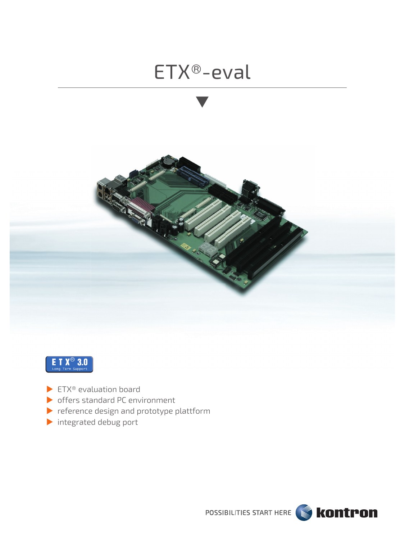



- $\blacktriangleright$  ETX® evaluation board
- offers standard PC environment
- reference design and prototype plattform
- integrated debug port